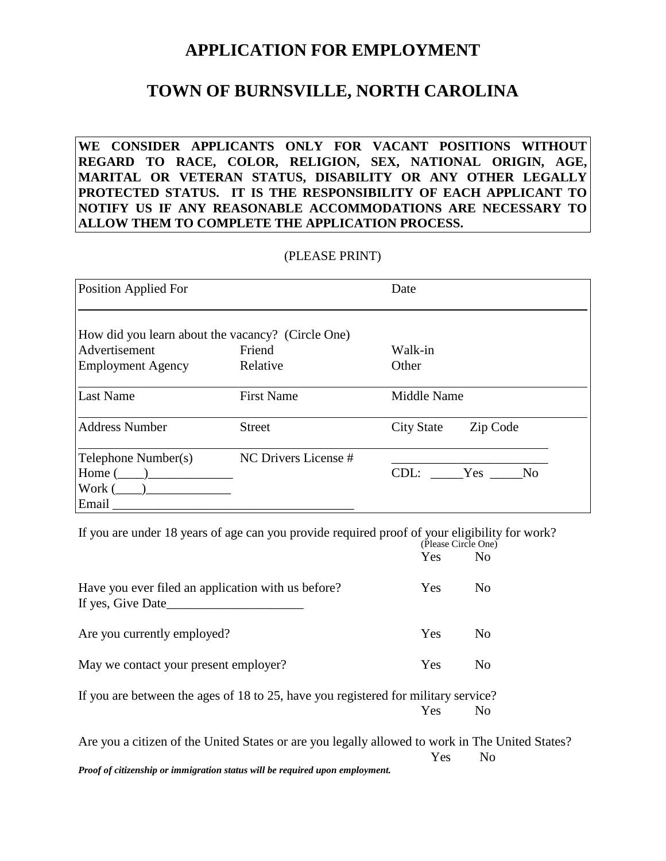### **APPLICATION FOR EMPLOYMENT**

### **TOWN OF BURNSVILLE, NORTH CAROLINA**

**WE CONSIDER APPLICANTS ONLY FOR VACANT POSITIONS WITHOUT REGARD TO RACE, COLOR, RELIGION, SEX, NATIONAL ORIGIN, AGE, MARITAL OR VETERAN STATUS, DISABILITY OR ANY OTHER LEGALLY PROTECTED STATUS. IT IS THE RESPONSIBILITY OF EACH APPLICANT TO NOTIFY US IF ANY REASONABLE ACCOMMODATIONS ARE NECESSARY TO ALLOW THEM TO COMPLETE THE APPLICATION PROCESS.**

#### (PLEASE PRINT)

| <b>Position Applied For</b>                       |                      | Date                          |
|---------------------------------------------------|----------------------|-------------------------------|
| How did you learn about the vacancy? (Circle One) |                      |                               |
| Advertisement                                     | Friend               | Walk-in                       |
| <b>Employment Agency</b>                          | Relative             | Other                         |
| <b>Last Name</b>                                  | <b>First Name</b>    | Middle Name                   |
| <b>Address Number</b>                             | <b>Street</b>        | Zip Code<br><b>City State</b> |
| Telephone Number(s)                               | NC Drivers License # |                               |
| $Home ($ $)$                                      |                      | CDL: Yes<br>N <sub>0</sub>    |
| Work (<br>$\overline{\phantom{a}}$                |                      |                               |
| Email                                             |                      |                               |

If you are under 18 years of age can you provide required proof of your eligibility for work? (Please Circle One)

|                                                                         | Yes        | N <sub>0</sub> |
|-------------------------------------------------------------------------|------------|----------------|
| Have you ever filed an application with us before?<br>If yes, Give Date | <b>Yes</b> | N <sub>0</sub> |
| Are you currently employed?                                             | <b>Yes</b> | No             |
| May we contact your present employer?                                   | Yes        | No             |
|                                                                         |            |                |

If you are between the ages of 18 to 25, have you registered for military service? Yes No

Are you a citizen of the United States or are you legally allowed to work in The United States? Yes No *Proof of citizenship or immigration status will be required upon employment.*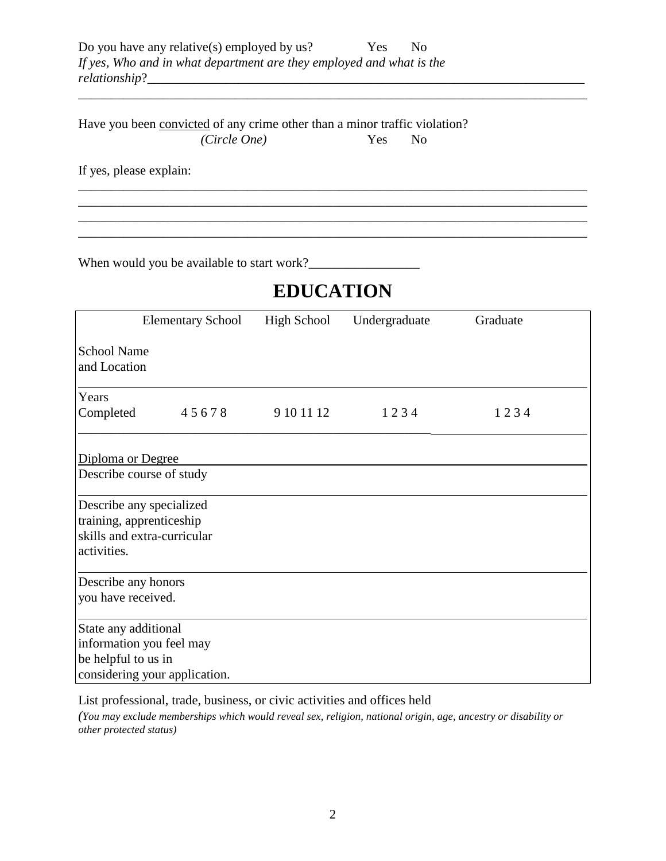Have you been convicted of any crime other than a minor traffic violation? *(Circle One)* Yes No

If yes, please explain:

When would you be available to start work?\_\_\_\_\_\_\_\_\_\_\_\_\_\_\_\_\_

# **EDUCATION**

\_\_\_\_\_\_\_\_\_\_\_\_\_\_\_\_\_\_\_\_\_\_\_\_\_\_\_\_\_\_\_\_\_\_\_\_\_\_\_\_\_\_\_\_\_\_\_\_\_\_\_\_\_\_\_\_\_\_\_\_\_\_\_\_\_\_\_\_\_\_\_\_\_\_\_\_\_\_

\_\_\_\_\_\_\_\_\_\_\_\_\_\_\_\_\_\_\_\_\_\_\_\_\_\_\_\_\_\_\_\_\_\_\_\_\_\_\_\_\_\_\_\_\_\_\_\_\_\_\_\_\_\_\_\_\_\_\_\_\_\_\_\_\_\_\_\_\_\_\_\_\_\_\_\_\_\_ \_\_\_\_\_\_\_\_\_\_\_\_\_\_\_\_\_\_\_\_\_\_\_\_\_\_\_\_\_\_\_\_\_\_\_\_\_\_\_\_\_\_\_\_\_\_\_\_\_\_\_\_\_\_\_\_\_\_\_\_\_\_\_\_\_\_\_\_\_\_\_\_\_\_\_\_\_\_ \_\_\_\_\_\_\_\_\_\_\_\_\_\_\_\_\_\_\_\_\_\_\_\_\_\_\_\_\_\_\_\_\_\_\_\_\_\_\_\_\_\_\_\_\_\_\_\_\_\_\_\_\_\_\_\_\_\_\_\_\_\_\_\_\_\_\_\_\_\_\_\_\_\_\_\_\_\_ \_\_\_\_\_\_\_\_\_\_\_\_\_\_\_\_\_\_\_\_\_\_\_\_\_\_\_\_\_\_\_\_\_\_\_\_\_\_\_\_\_\_\_\_\_\_\_\_\_\_\_\_\_\_\_\_\_\_\_\_\_\_\_\_\_\_\_\_\_\_\_\_\_\_\_\_\_\_

|                                             | <b>Elementary School</b>                                                            | <b>High School</b> | Undergraduate | Graduate |
|---------------------------------------------|-------------------------------------------------------------------------------------|--------------------|---------------|----------|
| <b>School Name</b><br>and Location          |                                                                                     |                    |               |          |
| Years                                       |                                                                                     |                    |               |          |
| Completed                                   | 45678                                                                               | 9 10 11 12         | 1234          | 1234     |
| Diploma or Degree                           | Describe course of study                                                            |                    |               |          |
|                                             |                                                                                     |                    |               |          |
| activities.                                 | Describe any specialized<br>training, apprenticeship<br>skills and extra-curricular |                    |               |          |
| Describe any honors                         |                                                                                     |                    |               |          |
| you have received.                          |                                                                                     |                    |               |          |
| State any additional<br>be helpful to us in | information you feel may<br>considering your application.                           |                    |               |          |

List professional, trade, business, or civic activities and offices held

*(You may exclude memberships which would reveal sex, religion, national origin, age, ancestry or disability or other protected status)*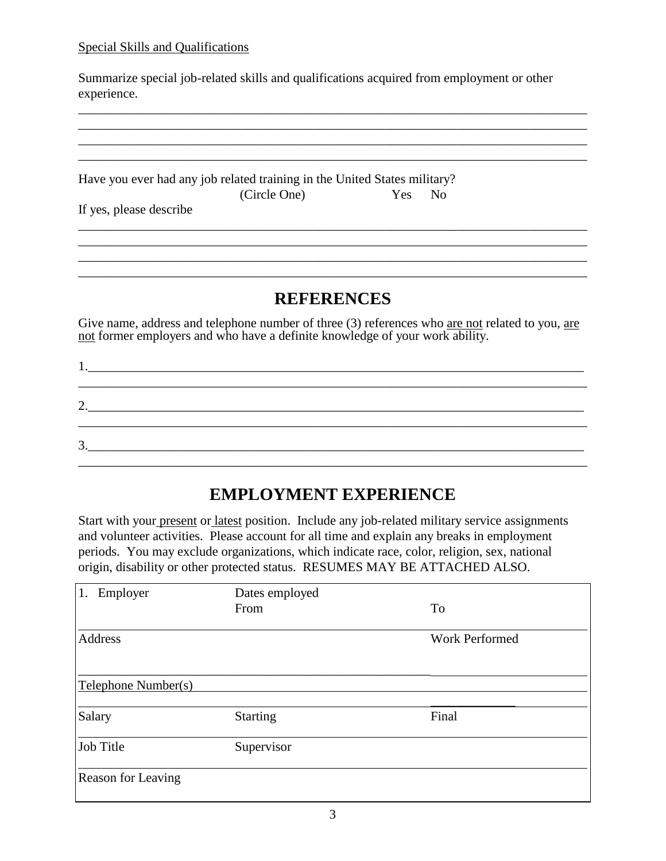#### Special Skills and Qualifications

Summarize special job-related skills and qualifications acquired from employment or other experience.

\_\_\_\_\_\_\_\_\_\_\_\_\_\_\_\_\_\_\_\_\_\_\_\_\_\_\_\_\_\_\_\_\_\_\_\_\_\_\_\_\_\_\_\_\_\_\_\_\_\_\_\_\_\_\_\_\_\_\_\_\_\_\_\_\_\_\_\_\_\_\_\_\_\_\_\_\_\_ \_\_\_\_\_\_\_\_\_\_\_\_\_\_\_\_\_\_\_\_\_\_\_\_\_\_\_\_\_\_\_\_\_\_\_\_\_\_\_\_\_\_\_\_\_\_\_\_\_\_\_\_\_\_\_\_\_\_\_\_\_\_\_\_\_\_\_\_\_\_\_\_\_\_\_\_\_\_ \_\_\_\_\_\_\_\_\_\_\_\_\_\_\_\_\_\_\_\_\_\_\_\_\_\_\_\_\_\_\_\_\_\_\_\_\_\_\_\_\_\_\_\_\_\_\_\_\_\_\_\_\_\_\_\_\_\_\_\_\_\_\_\_\_\_\_\_\_\_\_\_\_\_\_\_\_\_ \_\_\_\_\_\_\_\_\_\_\_\_\_\_\_\_\_\_\_\_\_\_\_\_\_\_\_\_\_\_\_\_\_\_\_\_\_\_\_\_\_\_\_\_\_\_\_\_\_\_\_\_\_\_\_\_\_\_\_\_\_\_\_\_\_\_\_\_\_\_\_\_\_\_\_\_\_\_

Have you ever had any job related training in the United States military? (Circle One) Yes No

If yes, please describe

#### **REFERENCES**

\_\_\_\_\_\_\_\_\_\_\_\_\_\_\_\_\_\_\_\_\_\_\_\_\_\_\_\_\_\_\_\_\_\_\_\_\_\_\_\_\_\_\_\_\_\_\_\_\_\_\_\_\_\_\_\_\_\_\_\_\_\_\_\_\_\_\_\_\_\_\_\_\_\_\_\_\_\_

\_\_\_\_\_\_\_\_\_\_\_\_\_\_\_\_\_\_\_\_\_\_\_\_\_\_\_\_\_\_\_\_\_\_\_\_\_\_\_\_\_\_\_\_\_\_\_\_\_\_\_\_\_\_\_\_\_\_\_\_\_\_\_\_\_\_\_\_\_\_\_\_\_\_\_\_\_\_ \_\_\_\_\_\_\_\_\_\_\_\_\_\_\_\_\_\_\_\_\_\_\_\_\_\_\_\_\_\_\_\_\_\_\_\_\_\_\_\_\_\_\_\_\_\_\_\_\_\_\_\_\_\_\_\_\_\_\_\_\_\_\_\_\_\_\_\_\_\_\_\_\_\_\_\_\_\_

Give name, address and telephone number of three (3) references who are not related to you, are not former employers and who have a definite knowledge of your work ability.

|                                                                                                                                                                                                                                                            | 2. |  |  |
|------------------------------------------------------------------------------------------------------------------------------------------------------------------------------------------------------------------------------------------------------------|----|--|--|
| $\mathbf 3$<br><u>and the state of the state of the state of the state of the state of the state of the state of the state of the state of the state of the state of the state of the state of the state of the state of the state of the state</u><br>J., |    |  |  |

### **EMPLOYMENT EXPERIENCE**

Start with your present or latest position. Include any job-related military service assignments and volunteer activities. Please account for all time and explain any breaks in employment periods. You may exclude organizations, which indicate race, color, religion, sex, national origin, disability or other protected status. RESUMES MAY BE ATTACHED ALSO.

| Employer<br>1.      | Dates employed  |                       |
|---------------------|-----------------|-----------------------|
|                     | From            | <b>To</b>             |
|                     |                 |                       |
| Address             |                 | <b>Work Performed</b> |
|                     |                 |                       |
| Telephone Number(s) |                 |                       |
|                     |                 |                       |
| Salary              | <b>Starting</b> | Final                 |
| Job Title           | Supervisor      |                       |
| Reason for Leaving  |                 |                       |
|                     |                 |                       |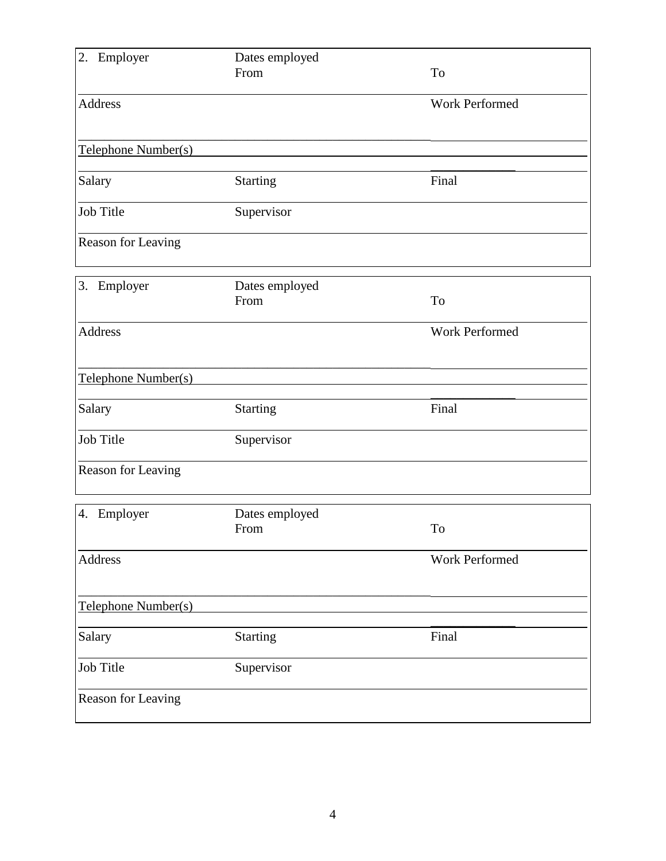| Employer<br>2.      | Dates employed<br>From | To             |
|---------------------|------------------------|----------------|
| <b>Address</b>      |                        | Work Performed |
| Telephone Number(s) |                        |                |
| Salary              | <b>Starting</b>        | Final          |
| <b>Job Title</b>    | Supervisor             |                |
| Reason for Leaving  |                        |                |
| 3.<br>Employer      | Dates employed<br>From | To             |
| <b>Address</b>      |                        | Work Performed |
| Telephone Number(s) |                        |                |
| Salary              | <b>Starting</b>        | Final          |
| Job Title           | Supervisor             |                |
| Reason for Leaving  |                        |                |
| Employer<br>4.      | Dates employed<br>From | To             |
| Address             |                        | Work Performed |
| Telephone Number(s) |                        |                |
| Salary              | <b>Starting</b>        | Final          |
| Job Title           | Supervisor             |                |
| Reason for Leaving  |                        |                |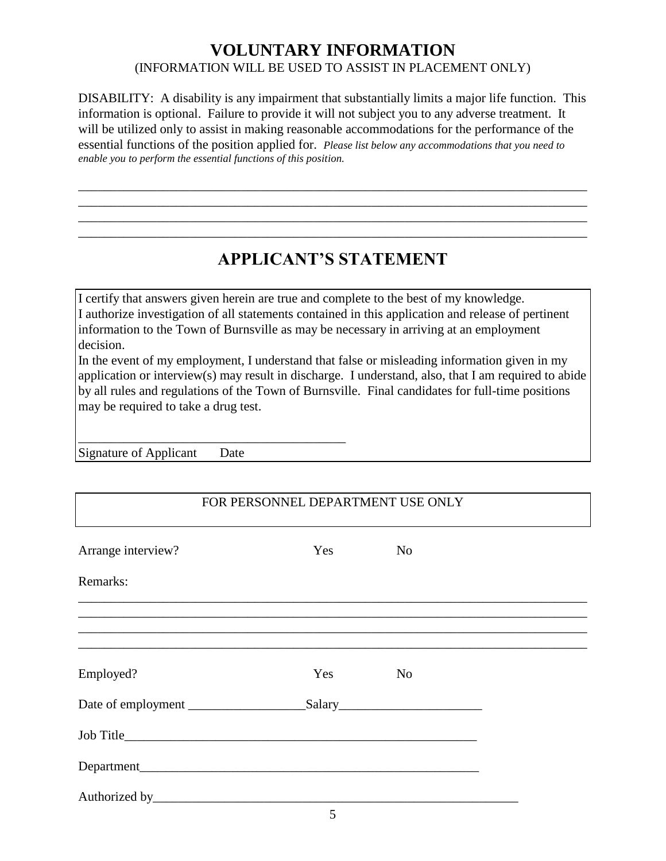### **VOLUNTARY INFORMATION** (INFORMATION WILL BE USED TO ASSIST IN PLACEMENT ONLY)

DISABILITY: A disability is any impairment that substantially limits a major life function. This information is optional. Failure to provide it will not subject you to any adverse treatment. It will be utilized only to assist in making reasonable accommodations for the performance of the essential functions of the position applied for. *Please list below any accommodations that you need to enable you to perform the essential functions of this position.*

\_\_\_\_\_\_\_\_\_\_\_\_\_\_\_\_\_\_\_\_\_\_\_\_\_\_\_\_\_\_\_\_\_\_\_\_\_\_\_\_\_\_\_\_\_\_\_\_\_\_\_\_\_\_\_\_\_\_\_\_\_\_\_\_\_\_\_\_\_\_\_\_\_\_\_\_\_\_ \_\_\_\_\_\_\_\_\_\_\_\_\_\_\_\_\_\_\_\_\_\_\_\_\_\_\_\_\_\_\_\_\_\_\_\_\_\_\_\_\_\_\_\_\_\_\_\_\_\_\_\_\_\_\_\_\_\_\_\_\_\_\_\_\_\_\_\_\_\_\_\_\_\_\_\_\_\_ \_\_\_\_\_\_\_\_\_\_\_\_\_\_\_\_\_\_\_\_\_\_\_\_\_\_\_\_\_\_\_\_\_\_\_\_\_\_\_\_\_\_\_\_\_\_\_\_\_\_\_\_\_\_\_\_\_\_\_\_\_\_\_\_\_\_\_\_\_\_\_\_\_\_\_\_\_\_ \_\_\_\_\_\_\_\_\_\_\_\_\_\_\_\_\_\_\_\_\_\_\_\_\_\_\_\_\_\_\_\_\_\_\_\_\_\_\_\_\_\_\_\_\_\_\_\_\_\_\_\_\_\_\_\_\_\_\_\_\_\_\_\_\_\_\_\_\_\_\_\_\_\_\_\_\_\_

## **APPLICANT'S STATEMENT**

I certify that answers given herein are true and complete to the best of my knowledge. I authorize investigation of all statements contained in this application and release of pertinent information to the Town of Burnsville as may be necessary in arriving at an employment decision.

In the event of my employment, I understand that false or misleading information given in my application or interview(s) may result in discharge. I understand, also, that I am required to abide by all rules and regulations of the Town of Burnsville. Final candidates for full-time positions may be required to take a drug test.

Signature of Applicant Date

\_\_\_\_\_\_\_\_\_\_\_\_\_\_\_\_\_\_\_\_\_\_\_\_\_\_\_\_\_\_\_\_\_\_\_\_\_\_\_\_\_

#### FOR PERSONNEL DEPARTMENT USE ONLY

| Arrange interview? | Yes | N <sub>o</sub> |  |
|--------------------|-----|----------------|--|
| Remarks:           |     |                |  |
|                    |     |                |  |
|                    |     |                |  |
| Employed?          | Yes | N <sub>o</sub> |  |
|                    |     | Salary         |  |
|                    |     |                |  |
|                    |     |                |  |
|                    |     |                |  |